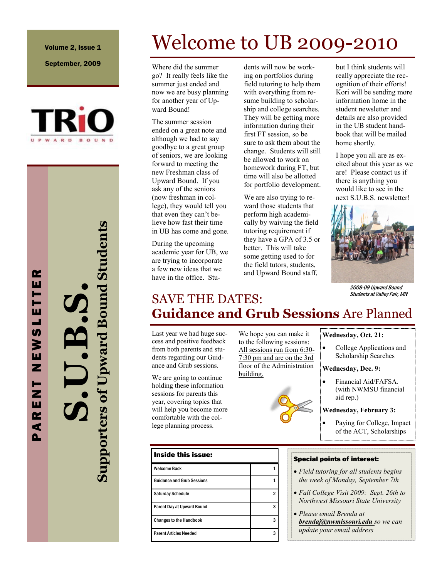Volume 2, Issue 1

September, 2009



**S.U.B.S. Supporters of Upward Bound Students**

# Welcome to UB 2009-2010

Where did the summer go? It really feels like the summer just ended and now we are busy planning for another year of Upward Bound!

The summer session ended on a great note and although we had to say goodbye to a great group of seniors, we are looking forward to meeting the new Freshman class of Upward Bound. If you ask any of the seniors (now freshman in college), they would tell you that even they can't believe how fast their time in UB has come and gone.

During the upcoming academic year for UB, we are trying to incorporate a few new ideas that we have in the office. Stu-

dents will now be working on portfolios during field tutoring to help them with everything from resume building to scholarship and college searches. They will be getting more information during their first FT session, so be sure to ask them about the change. Students will still be allowed to work on homework during FT, but time will also be allotted for portfolio development.

We are also trying to reward those students that perform high academically by waiving the field tutoring requirement if they have a GPA of 3.5 or better. This will take some getting used to for the field tutors, students, and Upward Bound staff,

but I think students will really appreciate the recognition of their efforts! Kori will be sending more information home in the student newsletter and details are also provided in the UB student handbook that will be mailed home shortly.

I hope you all are as excited about this year as we are! Please contact us if there is anything you would like to see in the next S.U.B.S. newsletter!



2008-09 Upward Bound Students at Valley Fair, MN

### SAVE THE DATES: **Guidance and Grub Sessions** Are Planned

Last year we had huge success and positive feedback from both parents and students regarding our Guidance and Grub sessions.

We are going to continue holding these information sessions for parents this year, covering topics that will help you become more comfortable with the college planning process.



We hope you can make it to the following sessions: All sessions run from 6:30- 7:30 pm and are on the 3rd floor of the Administration building.



#### **Wednesday, Oct. 21:**

• College Applications and Scholarship Searches

#### **Wednesday, Dec. 9:**

 Financial Aid/FAFSA. (with NWMSU financial aid rep.)

#### **Wednesday, February 3:**

 Paying for College, Impact of the ACT, Scholarships

#### Special points of interest:

- *Field tutoring for all students begins the week of Monday, September 7th*
- *Fall College Visit 2009: Sept. 26th to Northwest Missouri State University*
- *Please email Brenda at brendaj@nwmissouri.edu so we can update your email address*

P A R E N T N E W S L E T T E R ш ь Н ш ┙ U) ≽ ш Z ь Z ш œ ₫

Δ.

œ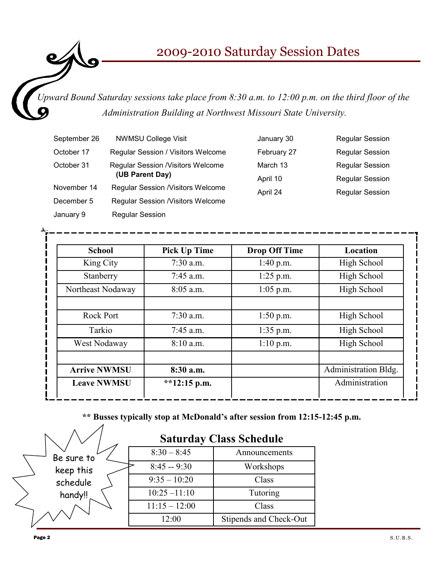### 2009-2010 Saturday Session Dates

*Upward Bound Saturday sessions take place from 8:30 a.m. to 12:00 p.m. on the third floor of the Administration Building at Northwest Missouri State University.*

| September 26 | <b>NWMSU College Visit</b>               | January 30  | <b>Regular Session</b> |
|--------------|------------------------------------------|-------------|------------------------|
| October 17   | Regular Session / Visitors Welcome       | February 27 | <b>Regular Session</b> |
| October 31   | <b>Regular Session /Visitors Welcome</b> | March 13    | <b>Regular Session</b> |
|              | (UB Parent Day)<br>April 10              |             | <b>Regular Session</b> |
| November 14  | <b>Regular Session /Visitors Welcome</b> | April 24    | <b>Regular Session</b> |
| December 5   | <b>Regular Session /Visitors Welcome</b> |             |                        |
| January 9    | <b>Regular Session</b>                   |             |                        |

| <b>School</b>       | <b>Pick Up Time</b> | <b>Drop Off Time</b> | Location             |
|---------------------|---------------------|----------------------|----------------------|
| King City           | $7:30$ a.m.         | $1:40$ p.m.          | High School          |
| Stanberry           | $7:45$ a.m.         | $1:25$ p.m.          | High School          |
| Northeast Nodaway   | $8:05$ a.m.         | $1:05$ p.m.          | High School          |
| Rock Port           | $7:30$ a.m.         | $1:50$ p.m.          | High School          |
| Tarkio              | $7:45$ a.m.         | $1:35$ p.m.          | High School          |
| West Nodaway        | 8:10 a.m.           | $1:10$ p.m.          | High School          |
| <b>Arrive NWMSU</b> | 8:30 a.m.           |                      | Administration Bldg. |
| <b>Leave NWMSU</b>  | **12:15 p.m.        |                      | Administration       |

**\*\* Busses typically stop at McDonald's after session from 12:15-12:45 p.m.**

|            | <b>Saturday Class Schedule</b> |                        |  |
|------------|--------------------------------|------------------------|--|
| Be sure to | $8:30 - 8:45$                  | Announcements          |  |
| keep this  | $8:45 - 9:30$                  | Workshops              |  |
| schedule   | $9:35 - 10:20$                 | Class                  |  |
| handy!!    | $10:25 - 11:10$                | Tutoring               |  |
|            | $11:15 - 12:00$                | Class                  |  |
|            | 12:00                          | Stipends and Check-Out |  |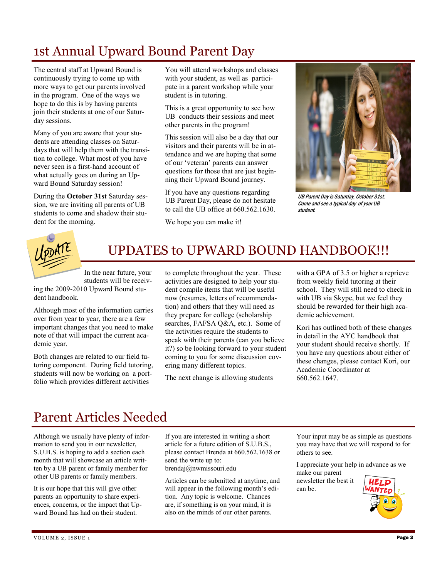# 1st Annual Upward Bound Parent Day

The central staff at Upward Bound is continuously trying to come up with more ways to get our parents involved in the program. One of the ways we hope to do this is by having parents join their students at one of our Saturday sessions.

Many of you are aware that your students are attending classes on Saturdays that will help them with the transition to college. What most of you have never seen is a first-hand account of what actually goes on during an Upward Bound Saturday session!

During the **October 31st** Saturday session, we are inviting all parents of UB students to come and shadow their student for the morning.

You will attend workshops and classes with your student, as well as participate in a parent workshop while your student is in tutoring.

This is a great opportunity to see how UB conducts their sessions and meet other parents in the program!

This session will also be a day that our visitors and their parents will be in attendance and we are hoping that some of our 'veteran' parents can answer questions for those that are just beginning their Upward Bound journey.

If you have any questions regarding UB Parent Day, please do not hesitate to call the UB office at 660.562.1630.

We hope you can make it!



UB Parent Day is Saturday, October 31st. Come and see a typical day of your UB student.



# UPDATES to UPWARD BOUND HANDBOOK!!!

In the near future, your students will be receiv-

ing the 2009-2010 Upward Bound student handbook.

Although most of the information carries over from year to year, there are a few important changes that you need to make note of that will impact the current academic year.

Both changes are related to our field tutoring component. During field tutoring, students will now be working on a portfolio which provides different activities

to complete throughout the year. These activities are designed to help your student compile items that will be useful now (resumes, letters of recommendation) and others that they will need as they prepare for college (scholarship searches, FAFSA Q&A, etc.). Some of the activities require the students to speak with their parents (can you believe it?) so be looking forward to your student coming to you for some discussion covering many different topics.

The next change is allowing students

with a GPA of 3.5 or higher a reprieve from weekly field tutoring at their school. They will still need to check in with UB via Skype, but we feel they should be rewarded for their high academic achievement.

Kori has outlined both of these changes in detail in the AYC handbook that your student should receive shortly. If you have any questions about either of these changes, please contact Kori, our Academic Coordinator at 660.562.1647.

## Parent Articles Needed

Although we usually have plenty of information to send you in our newsletter, S.U.B.S. is hoping to add a section each month that will showcase an article written by a UB parent or family member for other UB parents or family members.

It is our hope that this will give other parents an opportunity to share experiences, concerns, or the impact that Upward Bound has had on their student.

If you are interested in writing a short article for a future edition of S.U.B.S., please contact Brenda at 660.562.1638 or send the write up to: brendaj@nwmissouri.edu

Articles can be submitted at anytime, and will appear in the following month's edition. Any topic is welcome. Chances are, if something is on your mind, it is also on the minds of our other parents.

Your input may be as simple as questions you may have that we will respond to for others to see.

I appreciate your help in advance as we make our parent

newsletter the best it can be.